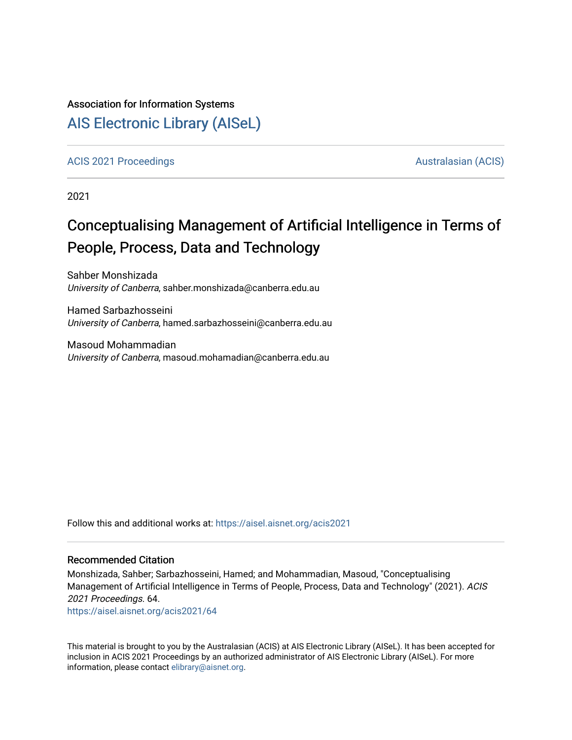### Association for Information Systems

## [AIS Electronic Library \(AISeL\)](https://aisel.aisnet.org/)

[ACIS 2021 Proceedings](https://aisel.aisnet.org/acis2021) [Australasian \(ACIS\)](https://aisel.aisnet.org/acis) Australasian (ACIS)

2021

# Conceptualising Management of Artificial Intelligence in Terms of People, Process, Data and Technology

Sahber Monshizada University of Canberra, sahber.monshizada@canberra.edu.au

Hamed Sarbazhosseini University of Canberra, hamed.sarbazhosseini@canberra.edu.au

Masoud Mohammadian University of Canberra, masoud.mohamadian@canberra.edu.au

Follow this and additional works at: [https://aisel.aisnet.org/acis2021](https://aisel.aisnet.org/acis2021?utm_source=aisel.aisnet.org%2Facis2021%2F64&utm_medium=PDF&utm_campaign=PDFCoverPages) 

#### Recommended Citation

Monshizada, Sahber; Sarbazhosseini, Hamed; and Mohammadian, Masoud, "Conceptualising Management of Artificial Intelligence in Terms of People, Process, Data and Technology" (2021). ACIS 2021 Proceedings. 64.

[https://aisel.aisnet.org/acis2021/64](https://aisel.aisnet.org/acis2021/64?utm_source=aisel.aisnet.org%2Facis2021%2F64&utm_medium=PDF&utm_campaign=PDFCoverPages)

This material is brought to you by the Australasian (ACIS) at AIS Electronic Library (AISeL). It has been accepted for inclusion in ACIS 2021 Proceedings by an authorized administrator of AIS Electronic Library (AISeL). For more information, please contact [elibrary@aisnet.org.](mailto:elibrary@aisnet.org%3E)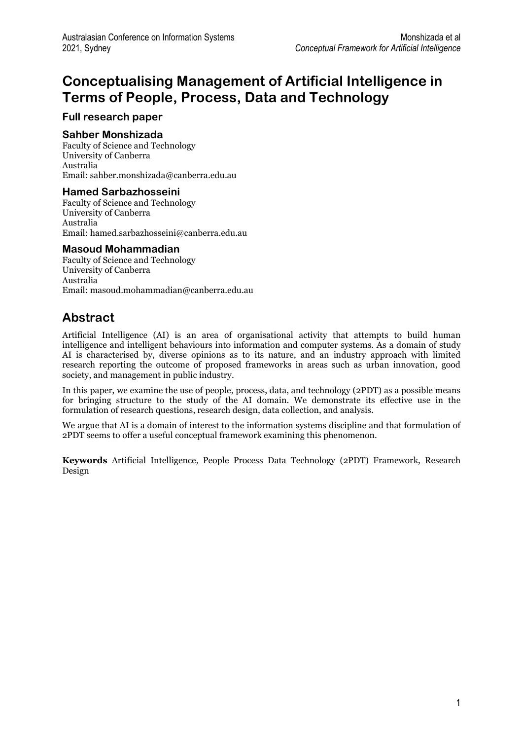## Conceptualising Management of Artificial Intelligence in Terms of People, Process, Data and Technology

### Full research paper

### Sahber Monshizada

Faculty of Science and Technology University of Canberra Australia Email: sahber.monshizada@canberra.edu.au

### Hamed Sarbazhosseini

Faculty of Science and Technology University of Canberra Australia Email: hamed.sarbazhosseini@canberra.edu.au

### Masoud Mohammadian

Faculty of Science and Technology University of Canberra Australia Email: masoud.mohammadian@canberra.edu.au

## Abstract

Artificial Intelligence (AI) is an area of organisational activity that attempts to build human intelligence and intelligent behaviours into information and computer systems. As a domain of study AI is characterised by, diverse opinions as to its nature, and an industry approach with limited research reporting the outcome of proposed frameworks in areas such as urban innovation, good society, and management in public industry.

In this paper, we examine the use of people, process, data, and technology (2PDT) as a possible means for bringing structure to the study of the AI domain. We demonstrate its effective use in the formulation of research questions, research design, data collection, and analysis.

We argue that AI is a domain of interest to the information systems discipline and that formulation of 2PDT seems to offer a useful conceptual framework examining this phenomenon.

Keywords Artificial Intelligence, People Process Data Technology (2PDT) Framework, Research Design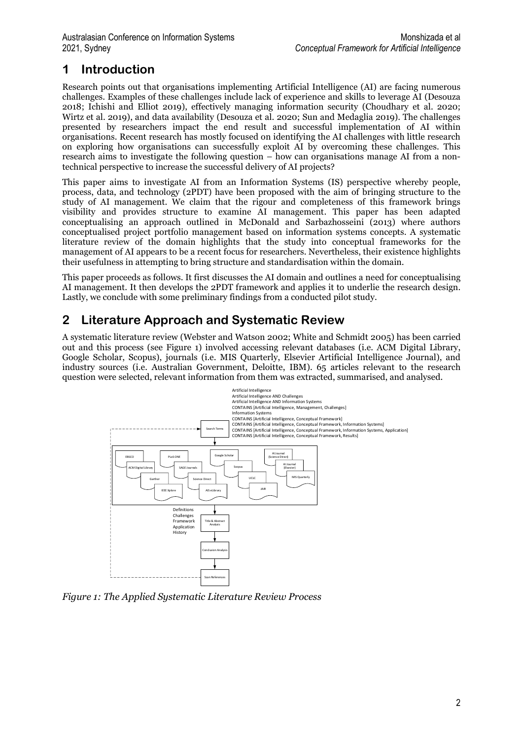## 1 Introduction

Research points out that organisations implementing Artificial Intelligence (AI) are facing numerous challenges. Examples of these challenges include lack of experience and skills to leverage AI (Desouza 2018; Ichishi and Elliot 2019), effectively managing information security (Choudhary et al. 2020; Wirtz et al. 2019), and data availability (Desouza et al. 2020; Sun and Medaglia 2019). The challenges presented by researchers impact the end result and successful implementation of AI within organisations. Recent research has mostly focused on identifying the AI challenges with little research on exploring how organisations can successfully exploit AI by overcoming these challenges. This research aims to investigate the following question – how can organisations manage AI from a nontechnical perspective to increase the successful delivery of AI projects?

This paper aims to investigate AI from an Information Systems (IS) perspective whereby people, process, data, and technology (2PDT) have been proposed with the aim of bringing structure to the study of AI management. We claim that the rigour and completeness of this framework brings visibility and provides structure to examine AI management. This paper has been adapted conceptualising an approach outlined in McDonald and Sarbazhosseini (2013) where authors conceptualised project portfolio management based on information systems concepts. A systematic literature review of the domain highlights that the study into conceptual frameworks for the management of AI appears to be a recent focus for researchers. Nevertheless, their existence highlights their usefulness in attempting to bring structure and standardisation within the domain.

This paper proceeds as follows. It first discusses the AI domain and outlines a need for conceptualising AI management. It then develops the 2PDT framework and applies it to underlie the research design. Lastly, we conclude with some preliminary findings from a conducted pilot study.

## 2 Literature Approach and Systematic Review

A systematic literature review (Webster and Watson 2002; White and Schmidt 2005) has been carried out and this process (see Figure 1) involved accessing relevant databases (i.e. ACM Digital Library, Google Scholar, Scopus), journals (i.e. MIS Quarterly, Elsevier Artificial Intelligence Journal), and industry sources (i.e. Australian Government, Deloitte, IBM). 65 articles relevant to the research question were selected, relevant information from them was extracted, summarised, and analysed.



Figure 1: The Applied Systematic Literature Review Process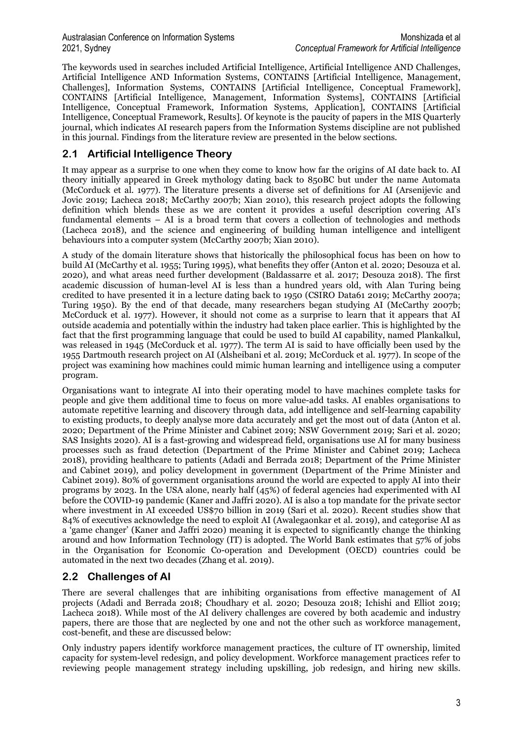#### Australasian Conference on Information Systems Monshizada et al 2021, Sydney Conceptual Framework for Artificial Intelligence

The keywords used in searches included Artificial Intelligence, Artificial Intelligence AND Challenges, Artificial Intelligence AND Information Systems, CONTAINS [Artificial Intelligence, Management, Challenges], Information Systems, CONTAINS [Artificial Intelligence, Conceptual Framework], CONTAINS [Artificial Intelligence, Management, Information Systems], CONTAINS [Artificial Intelligence, Conceptual Framework, Information Systems, Application], CONTAINS [Artificial Intelligence, Conceptual Framework, Results]. Of keynote is the paucity of papers in the MIS Quarterly journal, which indicates AI research papers from the Information Systems discipline are not published in this journal. Findings from the literature review are presented in the below sections.

### 2.1 Artificial Intelligence Theory

It may appear as a surprise to one when they come to know how far the origins of AI date back to. AI theory initially appeared in Greek mythology dating back to 850BC but under the name Automata (McCorduck et al. 1977). The literature presents a diverse set of definitions for AI (Arsenijevic and Jovic 2019; Lacheca 2018; McCarthy 2007b; Xian 2010), this research project adopts the following definition which blends these as we are content it provides a useful description covering AI's fundamental elements – AI is a broad term that covers a collection of technologies and methods (Lacheca 2018), and the science and engineering of building human intelligence and intelligent behaviours into a computer system (McCarthy 2007b; Xian 2010).

A study of the domain literature shows that historically the philosophical focus has been on how to build AI (McCarthy et al. 1955; Turing 1995), what benefits they offer (Anton et al. 2020; Desouza et al. 2020), and what areas need further development (Baldassarre et al. 2017; Desouza 2018). The first academic discussion of human-level AI is less than a hundred years old, with Alan Turing being credited to have presented it in a lecture dating back to 1950 (CSIRO Data61 2019; McCarthy 2007a; Turing 1950). By the end of that decade, many researchers began studying AI (McCarthy 2007b; McCorduck et al. 1977). However, it should not come as a surprise to learn that it appears that AI outside academia and potentially within the industry had taken place earlier. This is highlighted by the fact that the first programming language that could be used to build AI capability, named Plankalkul, was released in 1945 (McCorduck et al. 1977). The term AI is said to have officially been used by the 1955 Dartmouth research project on AI (Alsheibani et al. 2019; McCorduck et al. 1977). In scope of the project was examining how machines could mimic human learning and intelligence using a computer program.

Organisations want to integrate AI into their operating model to have machines complete tasks for people and give them additional time to focus on more value-add tasks. AI enables organisations to automate repetitive learning and discovery through data, add intelligence and self-learning capability to existing products, to deeply analyse more data accurately and get the most out of data (Anton et al. 2020; Department of the Prime Minister and Cabinet 2019; NSW Government 2019; Sari et al. 2020; SAS Insights 2020). AI is a fast-growing and widespread field, organisations use AI for many business processes such as fraud detection (Department of the Prime Minister and Cabinet 2019; Lacheca 2018), providing healthcare to patients (Adadi and Berrada 2018; Department of the Prime Minister and Cabinet 2019), and policy development in government (Department of the Prime Minister and Cabinet 2019). 80% of government organisations around the world are expected to apply AI into their programs by 2023. In the USA alone, nearly half (45%) of federal agencies had experimented with AI before the COVID-19 pandemic (Kaner and Jaffri 2020). AI is also a top mandate for the private sector where investment in AI exceeded US\$70 billion in 2019 (Sari et al. 2020). Recent studies show that 84% of executives acknowledge the need to exploit AI (Awalegaonkar et al. 2019), and categorise AI as a 'game changer' (Kaner and Jaffri 2020) meaning it is expected to significantly change the thinking around and how Information Technology (IT) is adopted. The World Bank estimates that 57% of jobs in the Organisation for Economic Co-operation and Development (OECD) countries could be automated in the next two decades (Zhang et al. 2019).

### 2.2 Challenges of AI

There are several challenges that are inhibiting organisations from effective management of AI projects (Adadi and Berrada 2018; Choudhary et al. 2020; Desouza 2018; Ichishi and Elliot 2019; Lacheca 2018). While most of the AI delivery challenges are covered by both academic and industry papers, there are those that are neglected by one and not the other such as workforce management, cost-benefit, and these are discussed below:

Only industry papers identify workforce management practices, the culture of IT ownership, limited capacity for system-level redesign, and policy development. Workforce management practices refer to reviewing people management strategy including upskilling, job redesign, and hiring new skills.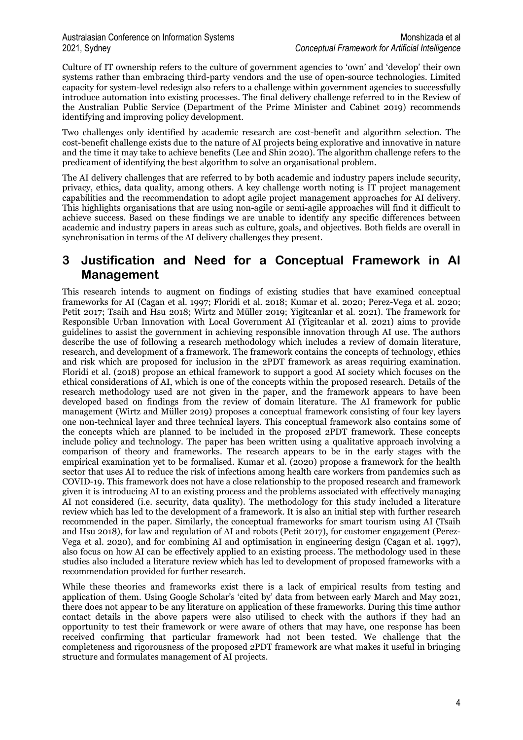Culture of IT ownership refers to the culture of government agencies to 'own' and 'develop' their own systems rather than embracing third-party vendors and the use of open-source technologies. Limited capacity for system-level redesign also refers to a challenge within government agencies to successfully introduce automation into existing processes. The final delivery challenge referred to in the Review of the Australian Public Service (Department of the Prime Minister and Cabinet 2019) recommends identifying and improving policy development.

Two challenges only identified by academic research are cost-benefit and algorithm selection. The cost-benefit challenge exists due to the nature of AI projects being explorative and innovative in nature and the time it may take to achieve benefits (Lee and Shin 2020). The algorithm challenge refers to the predicament of identifying the best algorithm to solve an organisational problem.

The AI delivery challenges that are referred to by both academic and industry papers include security, privacy, ethics, data quality, among others. A key challenge worth noting is IT project management capabilities and the recommendation to adopt agile project management approaches for AI delivery. This highlights organisations that are using non-agile or semi-agile approaches will find it difficult to achieve success. Based on these findings we are unable to identify any specific differences between academic and industry papers in areas such as culture, goals, and objectives. Both fields are overall in synchronisation in terms of the AI delivery challenges they present.

### 3 Justification and Need for a Conceptual Framework in AI Management

This research intends to augment on findings of existing studies that have examined conceptual frameworks for AI (Cagan et al. 1997; Floridi et al. 2018; Kumar et al. 2020; Perez-Vega et al. 2020; Petit 2017; Tsaih and Hsu 2018; Wirtz and Müller 2019; Yigitcanlar et al. 2021). The framework for Responsible Urban Innovation with Local Government AI (Yigitcanlar et al. 2021) aims to provide guidelines to assist the government in achieving responsible innovation through AI use. The authors describe the use of following a research methodology which includes a review of domain literature, research, and development of a framework. The framework contains the concepts of technology, ethics and risk which are proposed for inclusion in the 2PDT framework as areas requiring examination. Floridi et al. (2018) propose an ethical framework to support a good AI society which focuses on the ethical considerations of AI, which is one of the concepts within the proposed research. Details of the research methodology used are not given in the paper, and the framework appears to have been developed based on findings from the review of domain literature. The AI framework for public management (Wirtz and Müller 2019) proposes a conceptual framework consisting of four key layers one non-technical layer and three technical layers. This conceptual framework also contains some of the concepts which are planned to be included in the proposed 2PDT framework. These concepts include policy and technology. The paper has been written using a qualitative approach involving a comparison of theory and frameworks. The research appears to be in the early stages with the empirical examination yet to be formalised. Kumar et al. (2020) propose a framework for the health sector that uses AI to reduce the risk of infections among health care workers from pandemics such as COVID-19. This framework does not have a close relationship to the proposed research and framework given it is introducing AI to an existing process and the problems associated with effectively managing AI not considered (i.e. security, data quality). The methodology for this study included a literature review which has led to the development of a framework. It is also an initial step with further research recommended in the paper. Similarly, the conceptual frameworks for smart tourism using AI (Tsaih and Hsu 2018), for law and regulation of AI and robots (Petit 2017), for customer engagement (Perez-Vega et al. 2020), and for combining AI and optimisation in engineering design (Cagan et al. 1997), also focus on how AI can be effectively applied to an existing process. The methodology used in these studies also included a literature review which has led to development of proposed frameworks with a recommendation provided for further research.

While these theories and frameworks exist there is a lack of empirical results from testing and application of them. Using Google Scholar's 'cited by' data from between early March and May 2021, there does not appear to be any literature on application of these frameworks. During this time author contact details in the above papers were also utilised to check with the authors if they had an opportunity to test their framework or were aware of others that may have, one response has been received confirming that particular framework had not been tested. We challenge that the completeness and rigorousness of the proposed 2PDT framework are what makes it useful in bringing structure and formulates management of AI projects.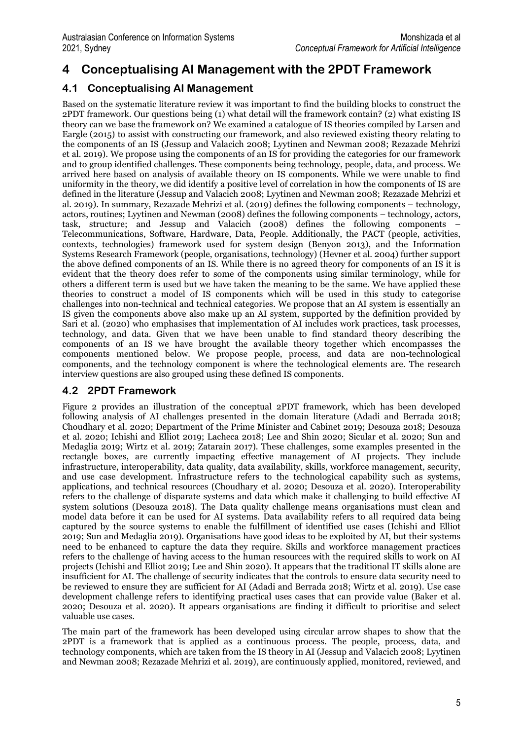## 4 Conceptualising AI Management with the 2PDT Framework

### 4.1 Conceptualising AI Management

Based on the systematic literature review it was important to find the building blocks to construct the 2PDT framework. Our questions being (1) what detail will the framework contain? (2) what existing IS theory can we base the framework on? We examined a catalogue of IS theories compiled by Larsen and Eargle (2015) to assist with constructing our framework, and also reviewed existing theory relating to the components of an IS (Jessup and Valacich 2008; Lyytinen and Newman 2008; Rezazade Mehrizi et al. 2019). We propose using the components of an IS for providing the categories for our framework and to group identified challenges. These components being technology, people, data, and process. We arrived here based on analysis of available theory on IS components. While we were unable to find uniformity in the theory, we did identify a positive level of correlation in how the components of IS are defined in the literature (Jessup and Valacich 2008; Lyytinen and Newman 2008; Rezazade Mehrizi et al. 2019). In summary, Rezazade Mehrizi et al. (2019) defines the following components – technology, actors, routines; Lyytinen and Newman (2008) defines the following components – technology, actors, task, structure; and Jessup and Valacich (2008) defines the following components – Telecommunications, Software, Hardware, Data, People. Additionally, the PACT (people, activities, contexts, technologies) framework used for system design (Benyon 2013), and the Information Systems Research Framework (people, organisations, technology) (Hevner et al. 2004) further support the above defined components of an IS. While there is no agreed theory for components of an IS it is evident that the theory does refer to some of the components using similar terminology, while for others a different term is used but we have taken the meaning to be the same. We have applied these theories to construct a model of IS components which will be used in this study to categorise challenges into non-technical and technical categories. We propose that an AI system is essentially an IS given the components above also make up an AI system, supported by the definition provided by Sari et al. (2020) who emphasises that implementation of AI includes work practices, task processes, technology, and data. Given that we have been unable to find standard theory describing the components of an IS we have brought the available theory together which encompasses the components mentioned below. We propose people, process, and data are non-technological components, and the technology component is where the technological elements are. The research interview questions are also grouped using these defined IS components.

### 4.2 2PDT Framework

Figure 2 provides an illustration of the conceptual 2PDT framework, which has been developed following analysis of AI challenges presented in the domain literature (Adadi and Berrada 2018; Choudhary et al. 2020; Department of the Prime Minister and Cabinet 2019; Desouza 2018; Desouza et al. 2020; Ichishi and Elliot 2019; Lacheca 2018; Lee and Shin 2020; Sicular et al. 2020; Sun and Medaglia 2019; Wirtz et al. 2019; Zatarain 2017). These challenges, some examples presented in the rectangle boxes, are currently impacting effective management of AI projects. They include infrastructure, interoperability, data quality, data availability, skills, workforce management, security, and use case development. Infrastructure refers to the technological capability such as systems, applications, and technical resources (Choudhary et al. 2020; Desouza et al. 2020). Interoperability refers to the challenge of disparate systems and data which make it challenging to build effective AI system solutions (Desouza 2018). The Data quality challenge means organisations must clean and model data before it can be used for AI systems. Data availability refers to all required data being captured by the source systems to enable the fulfillment of identified use cases (Ichishi and Elliot 2019; Sun and Medaglia 2019). Organisations have good ideas to be exploited by AI, but their systems need to be enhanced to capture the data they require. Skills and workforce management practices refers to the challenge of having access to the human resources with the required skills to work on AI projects (Ichishi and Elliot 2019; Lee and Shin 2020). It appears that the traditional IT skills alone are insufficient for AI. The challenge of security indicates that the controls to ensure data security need to be reviewed to ensure they are sufficient for AI (Adadi and Berrada 2018; Wirtz et al. 2019). Use case development challenge refers to identifying practical uses cases that can provide value (Baker et al. 2020; Desouza et al. 2020). It appears organisations are finding it difficult to prioritise and select valuable use cases.

The main part of the framework has been developed using circular arrow shapes to show that the 2PDT is a framework that is applied as a continuous process. The people, process, data, and technology components, which are taken from the IS theory in AI (Jessup and Valacich 2008; Lyytinen and Newman 2008; Rezazade Mehrizi et al. 2019), are continuously applied, monitored, reviewed, and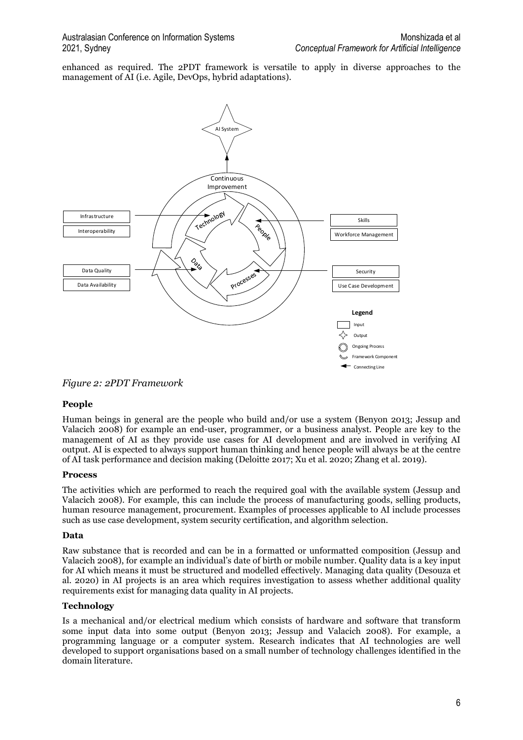enhanced as required. The 2PDT framework is versatile to apply in diverse approaches to the management of AI (i.e. Agile, DevOps, hybrid adaptations).



Figure 2: 2PDT Framework

#### People

Human beings in general are the people who build and/or use a system (Benyon 2013; Jessup and Valacich 2008) for example an end-user, programmer, or a business analyst. People are key to the management of AI as they provide use cases for AI development and are involved in verifying AI output. AI is expected to always support human thinking and hence people will always be at the centre of AI task performance and decision making (Deloitte 2017; Xu et al. 2020; Zhang et al. 2019).

#### Process

The activities which are performed to reach the required goal with the available system (Jessup and Valacich 2008). For example, this can include the process of manufacturing goods, selling products, human resource management, procurement. Examples of processes applicable to AI include processes such as use case development, system security certification, and algorithm selection.

#### Data

Raw substance that is recorded and can be in a formatted or unformatted composition (Jessup and Valacich 2008), for example an individual's date of birth or mobile number. Quality data is a key input for AI which means it must be structured and modelled effectively. Managing data quality (Desouza et al. 2020) in AI projects is an area which requires investigation to assess whether additional quality requirements exist for managing data quality in AI projects.

#### Technology

Is a mechanical and/or electrical medium which consists of hardware and software that transform some input data into some output (Benyon 2013; Jessup and Valacich 2008). For example, a programming language or a computer system. Research indicates that AI technologies are well developed to support organisations based on a small number of technology challenges identified in the domain literature.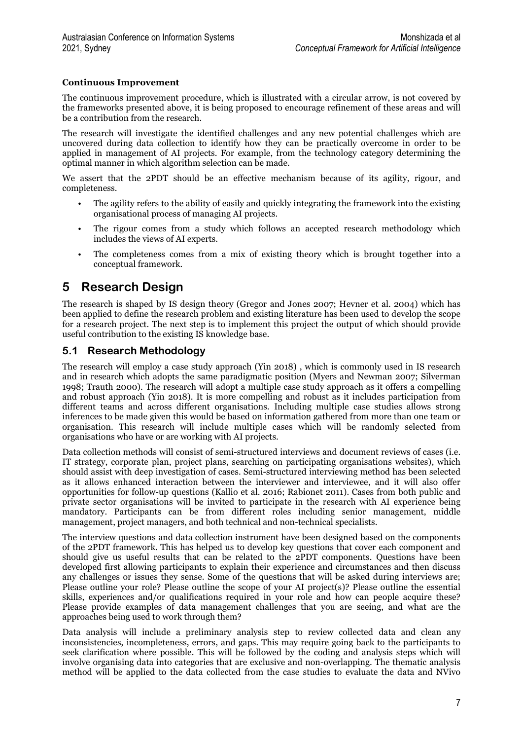#### Continuous Improvement

The continuous improvement procedure, which is illustrated with a circular arrow, is not covered by the frameworks presented above, it is being proposed to encourage refinement of these areas and will be a contribution from the research.

The research will investigate the identified challenges and any new potential challenges which are uncovered during data collection to identify how they can be practically overcome in order to be applied in management of AI projects. For example, from the technology category determining the optimal manner in which algorithm selection can be made.

We assert that the 2PDT should be an effective mechanism because of its agility, rigour, and completeness.

- The agility refers to the ability of easily and quickly integrating the framework into the existing organisational process of managing AI projects.
- The rigour comes from a study which follows an accepted research methodology which includes the views of AI experts.
- The completeness comes from a mix of existing theory which is brought together into a conceptual framework.

## 5 Research Design

The research is shaped by IS design theory (Gregor and Jones 2007; Hevner et al. 2004) which has been applied to define the research problem and existing literature has been used to develop the scope for a research project. The next step is to implement this project the output of which should provide useful contribution to the existing IS knowledge base.

### 5.1 Research Methodology

The research will employ a case study approach (Yin 2018) , which is commonly used in IS research and in research which adopts the same paradigmatic position (Myers and Newman 2007; Silverman 1998; Trauth 2000). The research will adopt a multiple case study approach as it offers a compelling and robust approach (Yin 2018). It is more compelling and robust as it includes participation from different teams and across different organisations. Including multiple case studies allows strong inferences to be made given this would be based on information gathered from more than one team or organisation. This research will include multiple cases which will be randomly selected from organisations who have or are working with AI projects.

Data collection methods will consist of semi-structured interviews and document reviews of cases (i.e. IT strategy, corporate plan, project plans, searching on participating organisations websites), which should assist with deep investigation of cases. Semi-structured interviewing method has been selected as it allows enhanced interaction between the interviewer and interviewee, and it will also offer opportunities for follow-up questions (Kallio et al. 2016; Rabionet 2011). Cases from both public and private sector organisations will be invited to participate in the research with AI experience being mandatory. Participants can be from different roles including senior management, middle management, project managers, and both technical and non-technical specialists.

The interview questions and data collection instrument have been designed based on the components of the 2PDT framework. This has helped us to develop key questions that cover each component and should give us useful results that can be related to the 2PDT components. Questions have been developed first allowing participants to explain their experience and circumstances and then discuss any challenges or issues they sense. Some of the questions that will be asked during interviews are; Please outline your role? Please outline the scope of your AI project(s)? Please outline the essential skills, experiences and/or qualifications required in your role and how can people acquire these? Please provide examples of data management challenges that you are seeing, and what are the approaches being used to work through them?

Data analysis will include a preliminary analysis step to review collected data and clean any inconsistencies, incompleteness, errors, and gaps. This may require going back to the participants to seek clarification where possible. This will be followed by the coding and analysis steps which will involve organising data into categories that are exclusive and non-overlapping. The thematic analysis method will be applied to the data collected from the case studies to evaluate the data and NVivo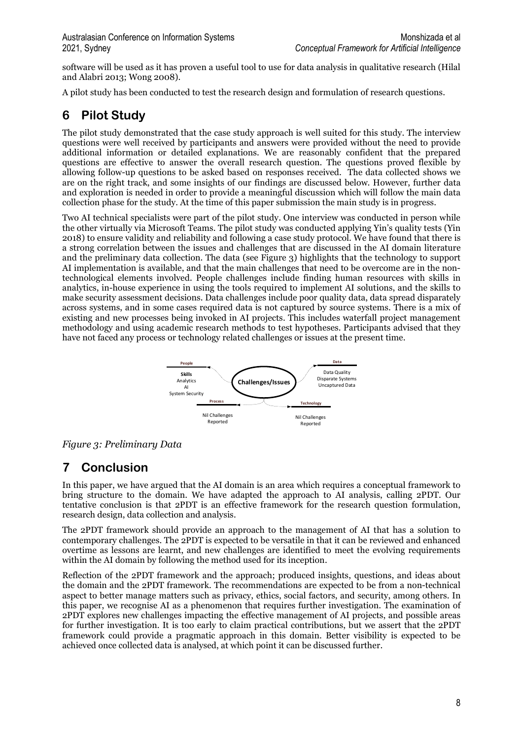software will be used as it has proven a useful tool to use for data analysis in qualitative research (Hilal and Alabri 2013; Wong 2008).

A pilot study has been conducted to test the research design and formulation of research questions.

## 6 Pilot Study

The pilot study demonstrated that the case study approach is well suited for this study. The interview questions were well received by participants and answers were provided without the need to provide additional information or detailed explanations. We are reasonably confident that the prepared questions are effective to answer the overall research question. The questions proved flexible by allowing follow-up questions to be asked based on responses received. The data collected shows we are on the right track, and some insights of our findings are discussed below. However, further data and exploration is needed in order to provide a meaningful discussion which will follow the main data collection phase for the study. At the time of this paper submission the main study is in progress.

Two AI technical specialists were part of the pilot study. One interview was conducted in person while the other virtually via Microsoft Teams. The pilot study was conducted applying Yin's quality tests (Yin 2018) to ensure validity and reliability and following a case study protocol. We have found that there is a strong correlation between the issues and challenges that are discussed in the AI domain literature and the preliminary data collection. The data (see Figure 3) highlights that the technology to support AI implementation is available, and that the main challenges that need to be overcome are in the nontechnological elements involved. People challenges include finding human resources with skills in analytics, in-house experience in using the tools required to implement AI solutions, and the skills to make security assessment decisions. Data challenges include poor quality data, data spread disparately across systems, and in some cases required data is not captured by source systems. There is a mix of existing and new processes being invoked in AI projects. This includes waterfall project management methodology and using academic research methods to test hypotheses. Participants advised that they have not faced any process or technology related challenges or issues at the present time.



Figure 3: Preliminary Data

## 7 Conclusion

In this paper, we have argued that the AI domain is an area which requires a conceptual framework to bring structure to the domain. We have adapted the approach to AI analysis, calling 2PDT. Our tentative conclusion is that 2PDT is an effective framework for the research question formulation, research design, data collection and analysis.

The 2PDT framework should provide an approach to the management of AI that has a solution to contemporary challenges. The 2PDT is expected to be versatile in that it can be reviewed and enhanced overtime as lessons are learnt, and new challenges are identified to meet the evolving requirements within the AI domain by following the method used for its inception.

Reflection of the 2PDT framework and the approach; produced insights, questions, and ideas about the domain and the 2PDT framework. The recommendations are expected to be from a non-technical aspect to better manage matters such as privacy, ethics, social factors, and security, among others. In this paper, we recognise AI as a phenomenon that requires further investigation. The examination of 2PDT explores new challenges impacting the effective management of AI projects, and possible areas for further investigation. It is too early to claim practical contributions, but we assert that the 2PDT framework could provide a pragmatic approach in this domain. Better visibility is expected to be achieved once collected data is analysed, at which point it can be discussed further.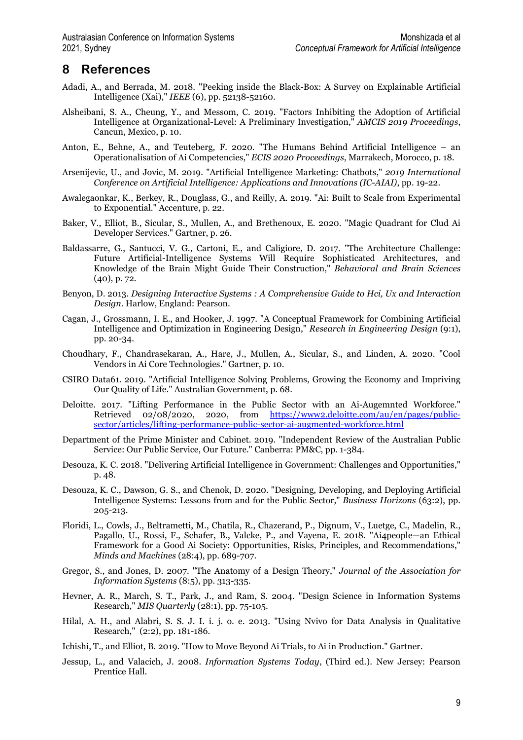### 8 References

- Adadi, A., and Berrada, M. 2018. "Peeking inside the Black-Box: A Survey on Explainable Artificial Intelligence (Xai)," IEEE (6), pp. 52138-52160.
- Alsheibani, S. A., Cheung, Y., and Messom, C. 2019. "Factors Inhibiting the Adoption of Artificial Intelligence at Organizational-Level: A Preliminary Investigation," AMCIS 2019 Proceedings, Cancun, Mexico, p. 10.
- Anton, E., Behne, A., and Teuteberg, F. 2020. "The Humans Behind Artificial Intelligence an Operationalisation of Ai Competencies," ECIS 2020 Proceedings, Marrakech, Morocco, p. 18.
- Arsenijevic, U., and Jovic, M. 2019. "Artificial Intelligence Marketing: Chatbots," 2019 International Conference on Artificial Intelligence: Applications and Innovations (IC-AIAI), pp. 19-22.
- Awalegaonkar, K., Berkey, R., Douglass, G., and Reilly, A. 2019. "Ai: Built to Scale from Experimental to Exponential." Accenture, p. 22.
- Baker, V., Elliot, B., Sicular, S., Mullen, A., and Brethenoux, E. 2020. "Magic Quadrant for Clud Ai Developer Services." Gartner, p. 26.
- Baldassarre, G., Santucci, V. G., Cartoni, E., and Caligiore, D. 2017. "The Architecture Challenge: Future Artificial-Intelligence Systems Will Require Sophisticated Architectures, and Knowledge of the Brain Might Guide Their Construction," Behavioral and Brain Sciences (40), p. 72.
- Benyon, D. 2013. Designing Interactive Systems : A Comprehensive Guide to Hci, Ux and Interaction Design. Harlow, England: Pearson.
- Cagan, J., Grossmann, I. E., and Hooker, J. 1997. "A Conceptual Framework for Combining Artificial Intelligence and Optimization in Engineering Design," Research in Engineering Design (9:1), pp. 20-34.
- Choudhary, F., Chandrasekaran, A., Hare, J., Mullen, A., Sicular, S., and Linden, A. 2020. "Cool Vendors in Ai Core Technologies." Gartner, p. 10.
- CSIRO Data61. 2019. "Artificial Intelligence Solving Problems, Growing the Economy and Impriving Our Quality of Life." Australian Government, p. 68.
- Deloitte. 2017. "Lifting Performance in the Public Sector with an Ai-Augemnted Workforce." Retrieved 02/08/2020, 2020, from https://www2.deloitte.com/au/en/pages/publicsector/articles/lifting-performance-public-sector-ai-augmented-workforce.html
- Department of the Prime Minister and Cabinet. 2019. "Independent Review of the Australian Public Service: Our Public Service, Our Future." Canberra: PM&C, pp. 1-384.
- Desouza, K. C. 2018. "Delivering Artificial Intelligence in Government: Challenges and Opportunities," p. 48.
- Desouza, K. C., Dawson, G. S., and Chenok, D. 2020. "Designing, Developing, and Deploying Artificial Intelligence Systems: Lessons from and for the Public Sector," Business Horizons (63:2), pp. 205-213.
- Floridi, L., Cowls, J., Beltrametti, M., Chatila, R., Chazerand, P., Dignum, V., Luetge, C., Madelin, R., Pagallo, U., Rossi, F., Schafer, B., Valcke, P., and Vayena, E. 2018. "Ai4people—an Ethical Framework for a Good Ai Society: Opportunities, Risks, Principles, and Recommendations," Minds and Machines (28:4), pp. 689-707.
- Gregor, S., and Jones, D. 2007. "The Anatomy of a Design Theory," Journal of the Association for Information Systems (8:5), pp. 313-335.
- Hevner, A. R., March, S. T., Park, J., and Ram, S. 2004. "Design Science in Information Systems Research," MIS Quarterly (28:1), pp. 75-105.
- Hilal, A. H., and Alabri, S. S. J. I. i. j. o. e. 2013. "Using Nvivo for Data Analysis in Qualitative Research," (2:2), pp. 181-186.
- Ichishi, T., and Elliot, B. 2019. "How to Move Beyond Ai Trials, to Ai in Production." Gartner.
- Jessup, L., and Valacich, J. 2008. Information Systems Today, (Third ed.). New Jersey: Pearson Prentice Hall.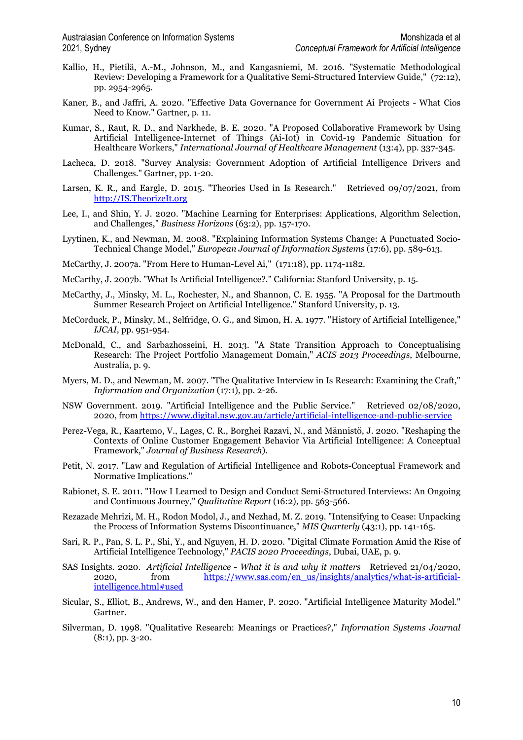- Kallio, H., Pietilä, A.-M., Johnson, M., and Kangasniemi, M. 2016. "Systematic Methodological Review: Developing a Framework for a Qualitative Semi-Structured Interview Guide," (72:12), pp. 2954-2965.
- Kaner, B., and Jaffri, A. 2020. "Effective Data Governance for Government Ai Projects What Cios Need to Know." Gartner, p. 11.
- Kumar, S., Raut, R. D., and Narkhede, B. E. 2020. "A Proposed Collaborative Framework by Using Artificial Intelligence-Internet of Things (Ai-Iot) in Covid-19 Pandemic Situation for Healthcare Workers," International Journal of Healthcare Management (13:4), pp. 337-345.
- Lacheca, D. 2018. "Survey Analysis: Government Adoption of Artificial Intelligence Drivers and Challenges." Gartner, pp. 1-20.
- Larsen, K. R., and Eargle, D. 2015. "Theories Used in Is Research." Retrieved 09/07/2021, from http://IS.TheorizeIt.org
- Lee, I., and Shin, Y. J. 2020. "Machine Learning for Enterprises: Applications, Algorithm Selection, and Challenges," Business Horizons (63:2), pp. 157-170.
- Lyytinen, K., and Newman, M. 2008. "Explaining Information Systems Change: A Punctuated Socio-Technical Change Model," European Journal of Information Systems (17:6), pp. 589-613.
- McCarthy, J. 2007a. "From Here to Human-Level Ai," (171:18), pp. 1174-1182.
- McCarthy, J. 2007b. "What Is Artificial Intelligence?." California: Stanford University, p. 15.
- McCarthy, J., Minsky, M. L., Rochester, N., and Shannon, C. E. 1955. "A Proposal for the Dartmouth Summer Research Project on Artificial Intelligence." Stanford University, p. 13.
- McCorduck, P., Minsky, M., Selfridge, O. G., and Simon, H. A. 1977. "History of Artificial Intelligence," IJCAI, pp. 951-954.
- McDonald, C., and Sarbazhosseini, H. 2013. "A State Transition Approach to Conceptualising Research: The Project Portfolio Management Domain," ACIS 2013 Proceedings, Melbourne, Australia, p. 9.
- Myers, M. D., and Newman, M. 2007. "The Qualitative Interview in Is Research: Examining the Craft," Information and Organization (17:1), pp. 2-26.
- NSW Government. 2019. "Artificial Intelligence and the Public Service." Retrieved 02/08/2020, 2020, from https://www.digital.nsw.gov.au/article/artificial-intelligence-and-public-service
- Perez-Vega, R., Kaartemo, V., Lages, C. R., Borghei Razavi, N., and Männistö, J. 2020. "Reshaping the Contexts of Online Customer Engagement Behavior Via Artificial Intelligence: A Conceptual Framework," Journal of Business Research).
- Petit, N. 2017. "Law and Regulation of Artificial Intelligence and Robots-Conceptual Framework and Normative Implications."
- Rabionet, S. E. 2011. "How I Learned to Design and Conduct Semi-Structured Interviews: An Ongoing and Continuous Journey," Qualitative Report (16:2), pp. 563-566.
- Rezazade Mehrizi, M. H., Rodon Modol, J., and Nezhad, M. Z. 2019. "Intensifying to Cease: Unpacking the Process of Information Systems Discontinuance," MIS Quarterly (43:1), pp. 141-165.
- Sari, R. P., Pan, S. L. P., Shi, Y., and Nguyen, H. D. 2020. "Digital Climate Formation Amid the Rise of Artificial Intelligence Technology," PACIS 2020 Proceedings, Dubai, UAE, p. 9.
- SAS Insights. 2020. Artificial Intelligence What it is and why it matters Retrieved 21/04/2020, 2020, from https://www.sas.com/en\_us/insights/analytics/what-is-artificialintelligence.html#used
- Sicular, S., Elliot, B., Andrews, W., and den Hamer, P. 2020. "Artificial Intelligence Maturity Model." Gartner.
- Silverman, D. 1998. "Qualitative Research: Meanings or Practices?," Information Systems Journal (8:1), pp. 3-20.